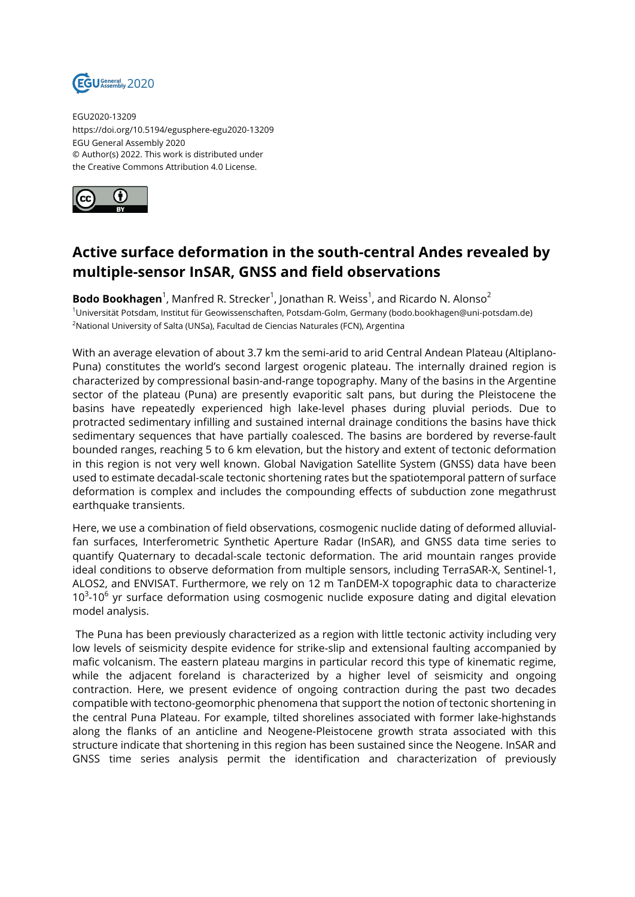

EGU2020-13209 https://doi.org/10.5194/egusphere-egu2020-13209 EGU General Assembly 2020 © Author(s) 2022. This work is distributed under the Creative Commons Attribution 4.0 License.



## **Active surface deformation in the south-central Andes revealed by multiple-sensor InSAR, GNSS and field observations**

**Bodo Bookhagen**<sup>1</sup>, Manfred R. Strecker<sup>1</sup>, Jonathan R. Weiss<sup>1</sup>, and Ricardo N. Alonso<sup>2</sup> <sup>1</sup>Universität Potsdam, Institut für Geowissenschaften, Potsdam-Golm, Germany (bodo.bookhagen@uni-potsdam.de) <sup>2</sup>National University of Salta (UNSa), Facultad de Ciencias Naturales (FCN), Argentina

With an average elevation of about 3.7 km the semi-arid to arid Central Andean Plateau (Altiplano-Puna) constitutes the world's second largest orogenic plateau. The internally drained region is characterized by compressional basin-and-range topography. Many of the basins in the Argentine sector of the plateau (Puna) are presently evaporitic salt pans, but during the Pleistocene the basins have repeatedly experienced high lake-level phases during pluvial periods. Due to protracted sedimentary infilling and sustained internal drainage conditions the basins have thick sedimentary sequences that have partially coalesced. The basins are bordered by reverse-fault bounded ranges, reaching 5 to 6 km elevation, but the history and extent of tectonic deformation in this region is not very well known. Global Navigation Satellite System (GNSS) data have been used to estimate decadal-scale tectonic shortening rates but the spatiotemporal pattern of surface deformation is complex and includes the compounding effects of subduction zone megathrust earthquake transients.

Here, we use a combination of field observations, cosmogenic nuclide dating of deformed alluvialfan surfaces, Interferometric Synthetic Aperture Radar (InSAR), and GNSS data time series to quantify Quaternary to decadal-scale tectonic deformation. The arid mountain ranges provide ideal conditions to observe deformation from multiple sensors, including TerraSAR-X, Sentinel-1, ALOS2, and ENVISAT. Furthermore, we rely on 12 m TanDEM-X topographic data to characterize  $10^3$ -10<sup>6</sup> yr surface deformation using cosmogenic nuclide exposure dating and digital elevation model analysis.

The Puna has been previously characterized as a region with little tectonic activity including very low levels of seismicity despite evidence for strike-slip and extensional faulting accompanied by mafic volcanism. The eastern plateau margins in particular record this type of kinematic regime, while the adjacent foreland is characterized by a higher level of seismicity and ongoing contraction. Here, we present evidence of ongoing contraction during the past two decades compatible with tectono-geomorphic phenomena that support the notion of tectonic shortening in the central Puna Plateau. For example, tilted shorelines associated with former lake-highstands along the flanks of an anticline and Neogene-Pleistocene growth strata associated with this structure indicate that shortening in this region has been sustained since the Neogene. InSAR and GNSS time series analysis permit the identification and characterization of previously